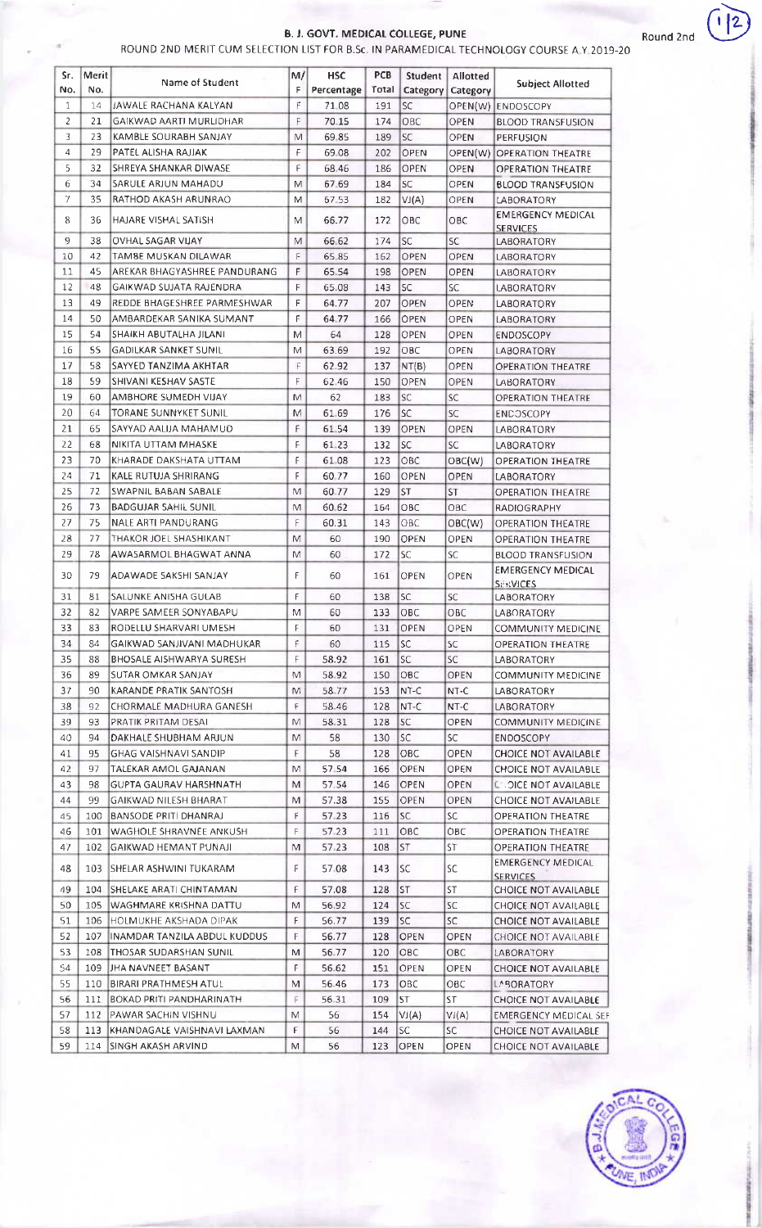## B. J. GOVT. MEDICAL COLLEGE, PUNE

 $\sim$ 

| ROUND 2ND MERIT CUM SELECTION LIST FOR B.Sc. IN PARAMEDICAL TECHNOLOGY COURSE A Y 2019-20 |  |
|-------------------------------------------------------------------------------------------|--|
|-------------------------------------------------------------------------------------------|--|

| Sr.            | Merit    | Name of Student                 | M/          | <b>HSC</b> | <b>PCB</b> | Student     | Allotted    |                              |
|----------------|----------|---------------------------------|-------------|------------|------------|-------------|-------------|------------------------------|
| No.            | No.      |                                 | F           | Percentage | Total      | Category    | Category    | <b>Subject Allotted</b>      |
| 1              | 14       | JAWALE RACHANA KALYAN           | F           | 71 08      | 191        | <b>SC</b>   |             | OPEN(W) ENDOSCOPY            |
| $\overline{2}$ | 21       | GAIKWAD AARTI MURLIDHAR         | F           | 70.15      | 174        | OBC         | OPEN        | <b>BLOOD TRANSFUSION</b>     |
| 3              | 23       | KAMBLE SOURABH SANJAY           | M           | 69.85      | 189        | <b>SC</b>   | <b>OPEN</b> | PERFUSION                    |
| 4              | 29       | PATEL ALISHA RAJJAK             | F           | 69 08      | 202        | OPEN        |             | OPEN(W) OPERATION THEATRE    |
| 5              | 32       | SHREYA SHANKAR DIWASE           | F           | 68 46      | 186        | OPEN        | OPEN        | OPERATION THEATRE            |
| 6              | 34       | SARULE ARJUN MAHADU             | M           | 67.69      | 184        | <b>SC</b>   | OPEN        | <b>BLOOD TRANSFUSION</b>     |
| 7              | 35       | RATHOD AKASH ARUNRAO            | M           | 67.53      | 182        | VI(A)       | OPEN        | LABORATORY                   |
| 8              | 36       | HAJARE VISHAL SATISH            | M           | 66.77      | 172        | OBC         | OBC         | <b>EMERGENCY MEDICAL</b>     |
|                |          |                                 |             |            |            |             |             | <b>SERVICES</b>              |
| 9              | 38       | OVHAL SAGAR VIJAY               | M           | 66.62      | 174        | <b>SC</b>   | <b>SC</b>   | <b>LABORATORY</b>            |
| 10             | 42<br>45 | TAMBE MUSKAN DILAWAR            | F           | 65 85      | 162        | OPEN        | <b>OPEN</b> | LABORATORY                   |
| 11             |          | AREKAR BHAGYASHREE PANDURANG    | F           | 65.54      | 198        | OPEN        | <b>OPEN</b> | LABORATORY                   |
| 12             | 48       | GAIKWAD SUJATA RAJENDRA         | F           | 65.08      | 143        | <b>SC</b>   | <b>SC</b>   | <b>LABORATORY</b>            |
| 13             | 49       | REDDE BHAGESHREE PARMESHWAR     | F           | 64.77      | 207        | OPEN        | OPEN        | LABORATORY                   |
| 14             | 50       | AMBARDEKAR SANIKA SUMANT        | F           | 64.77      | 166        | OPEN        | OPEN        | LABORATORY                   |
| 15             | 54       | SHAIKH ABUTALHA JILANI          | M           | 64         | 128        | OPEN        | OPEN        | <b>ENDOSCOPY</b>             |
| 16             | 55       | <b>GADILKAR SANKET SUNIL</b>    | M           | 63.69      | 192        | OBC         | OPEN        | LABORATORY                   |
| 17             | 58       | SAYYED TANZIMA AKHTAR           | F           | 62 92      | 137        | NT(B)       | <b>OPEN</b> | OPERATION THEATRE            |
| 18             | 59       | SHIVANI KESHAV SASTE            | F           | 62.46      | 150        | OPEN        | OPEN        | <b>LABORATORY</b>            |
| 19             | 60       | AMBHORE SUMEDH VIJAY            | M           | 62         | 183        | SC          | SC          | <b>OPERATION THEATRE</b>     |
| 20             | 64       | TORANE SUNNYKET SUNIL           | M           | 61.69      | 176        | SC.         | SC          | <b>ENDOSCOPY</b>             |
| 21             | 65       | SAYYAD AALIJA MAHAMUD           | F           | 61 54      | 139        | OPEN        | OPEN        | LABORATORY                   |
| 22             | 68       | NIKITA UTTAM MHASKE             | F           | 61.23      | 132        | <b>SC</b>   | <b>SC</b>   | <b>LABORATORY</b>            |
| 23             | 70       | KHARADE DAKSHATA UTTAM          | F           | 61 08      | 123        | OBC         | OBC(W)      | <b>OPERATION THEATRE</b>     |
| 24             | 71       | KALE RUTUJA SHRIRANG            | F           | 60.77      | 160        | OPEN        | OPEN        | <b>LABORATORY</b>            |
| 25             | 72       | SWAPNIL BABAN SABALE            | M           | 60.77      | 129        | <b>ST</b>   | <b>ST</b>   | <b>OPERATION THEATRE</b>     |
| 26             | 73       | <b>BADGUJAR SAHIL SUNIL</b>     | M           | 60.62      | 164        | OBC         | OBC         | <b>RADIOGRAPHY</b>           |
| 27             | 75       | NALE ARTI PANDURANG             | F           | 60.31      | 143        | ОВС         | OBC(W)      | <b>OPERATION THEATRE</b>     |
| 28             | 77       | THAKOR JOEL SHASHIKANT          | M           | 60         | 190        | OPEN        | OPEN        | <b>OPERATION THEATRE</b>     |
| 29             | 78       | AWASARMOL BHAGWAT ANNA          | M           | 60         | 172        | <b>SC</b>   | SC          | <b>BLOOD TRANSFUSION</b>     |
| 30             | 79       | ADAWADE SAKSHI SANJAY           | F           |            |            |             |             | <b>EMERGENCY MEDICAL</b>     |
|                |          |                                 |             | 60         | 161        | OPEN        | OPEN        | <b>SERVICES</b>              |
| 31             | 81       | SALUNKE ANISHA GULAB            | F           | 60         | 138        | <b>SC</b>   | SC          | LABORATORY                   |
| 32             | 82       | VARPE SAMEER SONYABAPU          | M           | 60         | 133        | OBC         | OBC         | <b>LABORATORY</b>            |
| 33             | 83       | RODELLU SHARVARI UMESH          | F           | 60         | 131        | OPEN        | OPEN        | COMMUNITY MEDICINE           |
| 34             | 84       | GAIKWAD SANJIVANI MADHUKAR      | F           | 60         | 115        | lsc.        | SC.         | OPERATION THEATRE            |
| 35             | 88       | BHOSALE AISHWARYA SURESH        | $\mathsf F$ | 58.92      | 161        | SC.         | SC          | LABORATORY                   |
| 36             | 89       | ISUTAR OMKAR SANJAY             | М           | 58.92      | 150        | OBC         | OPEN        | COMMUNITY MEDICINE           |
| 37             | 90       | KARANDE PRATIK SANTOSH          | M           | 58.77      | 153        | $NT-C$      | NT-C        | LABORATORY                   |
| 38             | 92       | CHORMALE MADHURA GANESH         | F           | 58.46      | 128        | NT-C        | NT-C        | LABORATORY                   |
| 39             | 93       | PRATIK PRITAM DESAL             | M           | 58.31      | 128        | SC.         | OPEN        | COMMUNITY MEDICINE           |
| 40.            | 94       | DAKHALE SHUBHAM ARJUN           | M           | 58         | 130        | SC.         | SC          | <b>ENDOSCOPY</b>             |
| 41             | 95       | GHAG VAISHNAVI SANDIP           | F           | 58         | 128        | OBC         | OPEN        | CHOICE NOT AVAILABLE         |
| 42             | 97       | TALEKAR AMOL GAJANAN            | M           | 57.54      | 166        | OPEN        | OPEN        | CHOICE NOT AVAILABLE         |
| 43             | 98       | <b>GUPTA GAURAV HARSHNATH</b>   | M           | 57.54      | 146        | <b>OPEN</b> | OPEN        | <b>CHOICE NOT AVAILABLE</b>  |
| 44             | 99       | GAIKWAD NILESH BHARAT           | M           | 57.38      | 155        | OPEN        | OPEN        | CHOICE NOT AVAILABLE         |
| 45             | 100      | BANSODE PRITI DHANRAJ           | F.          | 57.23      | 116        | SC.         | SC.         | OPERATION THEATRE            |
| 46             | 101      | WAGHOLE SHRAVNEE ANKUSH         | F           | 57.23      | 111        | OBC         | OBC         | OPERATION THEATRE            |
| 47             | 102      | GAIKWAD HEMANT PUNAJI           | M           | 57.23      | 108        | <b>ST</b>   | ST          | OPERATION THEATRE            |
| 48             | 103      |                                 | ۴           | 57.08      | 143        | SC          | SC.         | EMERGENCY MEDICAL            |
|                |          | ISHELAR ASHWINI TUKARAM.        |             |            |            |             |             | <b>SERVICES</b>              |
| 49             | 104      | SHELAKE ARATI CHINTAMAN         | F           | 57.08      | 128        | <b>ST</b>   | ST          | CHOICE NOT AVAILABLE         |
| 50             | 105      | WAGHMARE KRISHNA DATTU          | M           | 56.92      | 124        | <b>SC</b>   | <b>SC</b>   | CHOICE NOT AVAILABLE         |
| 51             | 106      | HOLMUKHE AKSHADA DIPAK          | F           | 56.77      | 139        | <b>SC</b>   | SC.         | CHOICE NOT AVAILABLE         |
| 52             | 107      | INAMDAR TANZILA ABDUL KUDDUS    | F           | 56.77      | 128        | OPEN        | OPEN        | CHOICE NOT AVAILABLE         |
| 53             | 108      | THOSAR SUDARSHAN SUNIL          | M           | 56.77      | 120        | <b>OBC</b>  | OBC         | <b>LABORATORY</b>            |
| 54             | 109      | JHA NAVNEET BASANT              | F.          | 56.62      | 151        | OPEN        | OPEN        | <b>CHOICE NOT AVAILABLE</b>  |
| 55             | 110      | BIRARI PRATHMESH ATUL           | M           | 56.46      | 173        | OBC         | OBC         | LABORATORY                   |
| 56             | 111      | <b>BOKAD PRITI PANDHARINATH</b> | F           | 56.31      | 109        | ST.         | <b>ST</b>   | CHOICE NOT AVAILABLE         |
| 57             | 112      | PAWAR SACHIN VISHNU             | M           | 56         | 154        | VI(A)       | VI(A)       | <b>EMERGENCY MEDICAL SEF</b> |
| 58             | 113      | KHANDAGALE VAISHNAVI LAXMAN     | F           | 56         | 144        | lsc.        | SC          | CHOICE NOT AVAILABLE         |
| 59             | 114      | <b>ISINGH AKASH ARVIND</b>      | M           | 56         | 123        | OPEN        | OPEN        | CHOICE NOT AVAILABLE.        |